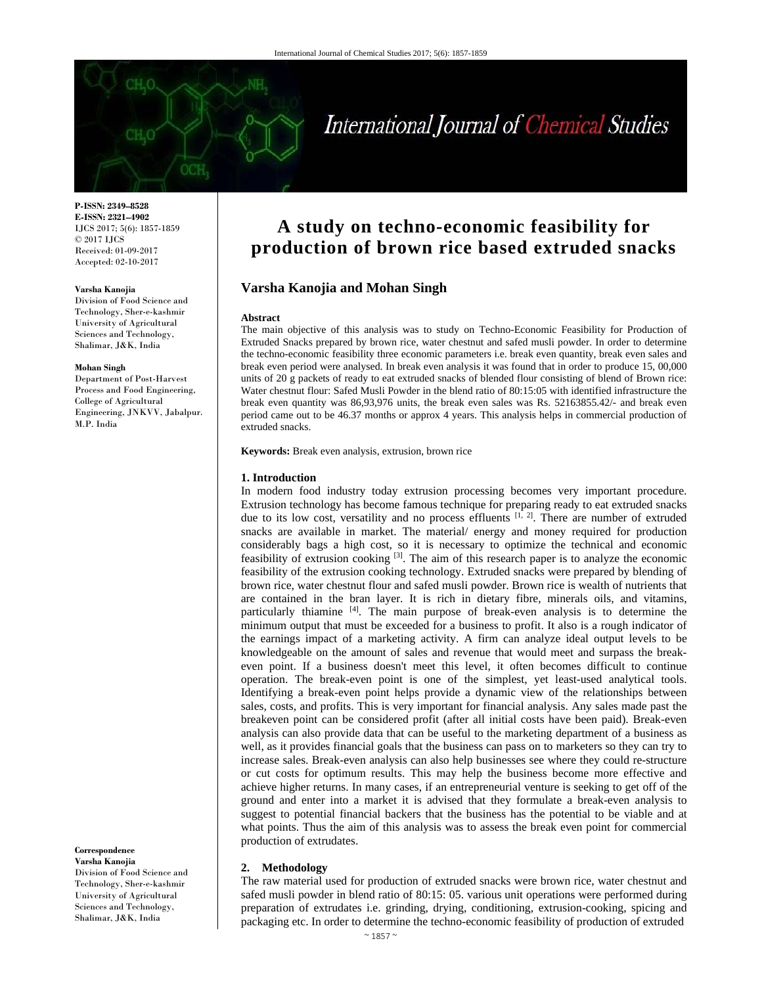#### **P-ISSN: 2349–8528 E-ISSN: 2321–4902**  IJCS 2017; 5(6): 1857-1859 © 2017 IJCS Received: 01-09-2017 Accepted: 02-10-2017

#### **Varsha Kanojia**

Division of Food Science and Technology, Sher-e-kashmir University of Agricultural Sciences and Technology, Shalimar, J&K, India

#### **Mohan Singh**

Department of Post-Harvest Process and Food Engineering, College of Agricultural Engineering, JNKVV, Jabalpur. M.P. India

**Correspondence** 

**Varsha Kanojia**  Division of Food Science and Technology, Sher-e-kashmir University of Agricultural Sciences and Technology, Shalimar, J&K, India

# **A study on techno-economic feasibility for production of brown rice based extruded snacks**

# **Varsha Kanojia and Mohan Singh**

#### **Abstract**

The main objective of this analysis was to study on Techno-Economic Feasibility for Production of Extruded Snacks prepared by brown rice, water chestnut and safed musli powder. In order to determine the techno-economic feasibility three economic parameters i.e. break even quantity, break even sales and break even period were analysed. In break even analysis it was found that in order to produce 15, 00,000 units of 20 g packets of ready to eat extruded snacks of blended flour consisting of blend of Brown rice: Water chestnut flour: Safed Musli Powder in the blend ratio of 80:15:05 with identified infrastructure the break even quantity was 86,93,976 units, the break even sales was Rs. 52163855.42/- and break even period came out to be 46.37 months or approx 4 years. This analysis helps in commercial production of extruded snacks.

**Keywords:** Break even analysis, extrusion, brown rice

## **1. Introduction**

In modern food industry today extrusion processing becomes very important procedure. Extrusion technology has become famous technique for preparing ready to eat extruded snacks due to its low cost, versatility and no process effluents  $[1, 2]$ . There are number of extruded snacks are available in market. The material/ energy and money required for production considerably bags a high cost, so it is necessary to optimize the technical and economic feasibility of extrusion cooking [3]. The aim of this research paper is to analyze the economic feasibility of the extrusion cooking technology. Extruded snacks were prepared by blending of brown rice, water chestnut flour and safed musli powder. Brown rice is wealth of nutrients that are contained in the bran layer. It is rich in dietary fibre, minerals oils, and vitamins, particularly thiamine [4]. The main purpose of break-even analysis is to determine the minimum output that must be exceeded for a business to profit. It also is a rough indicator of the earnings impact of a marketing activity. A firm can analyze ideal output levels to be knowledgeable on the amount of sales and revenue that would meet and surpass the breakeven point. If a business doesn't meet this level, it often becomes difficult to continue operation. The break-even point is one of the simplest, yet least-used analytical tools. Identifying a break-even point helps provide a dynamic view of the relationships between sales, costs, and profits. This is very important for financial analysis. Any sales made past the breakeven point can be considered profit (after all initial costs have been paid). Break-even analysis can also provide data that can be useful to the marketing department of a business as well, as it provides financial goals that the business can pass on to marketers so they can try to increase sales. Break-even analysis can also help businesses see where they could re-structure or cut costs for optimum results. This may help the business become more effective and achieve higher returns. In many cases, if an entrepreneurial venture is seeking to get off of the ground and enter into a market it is advised that they formulate a break-even analysis to suggest to potential financial backers that the business has the potential to be viable and at what points. Thus the aim of this analysis was to assess the break even point for commercial production of extrudates.

#### **2. Methodology**

The raw material used for production of extruded snacks were brown rice, water chestnut and safed musli powder in blend ratio of 80:15: 05. various unit operations were performed during preparation of extrudates i.e. grinding, drying, conditioning, extrusion-cooking, spicing and packaging etc. In order to determine the techno-economic feasibility of production of extruded

# International Journal of Chemical Studies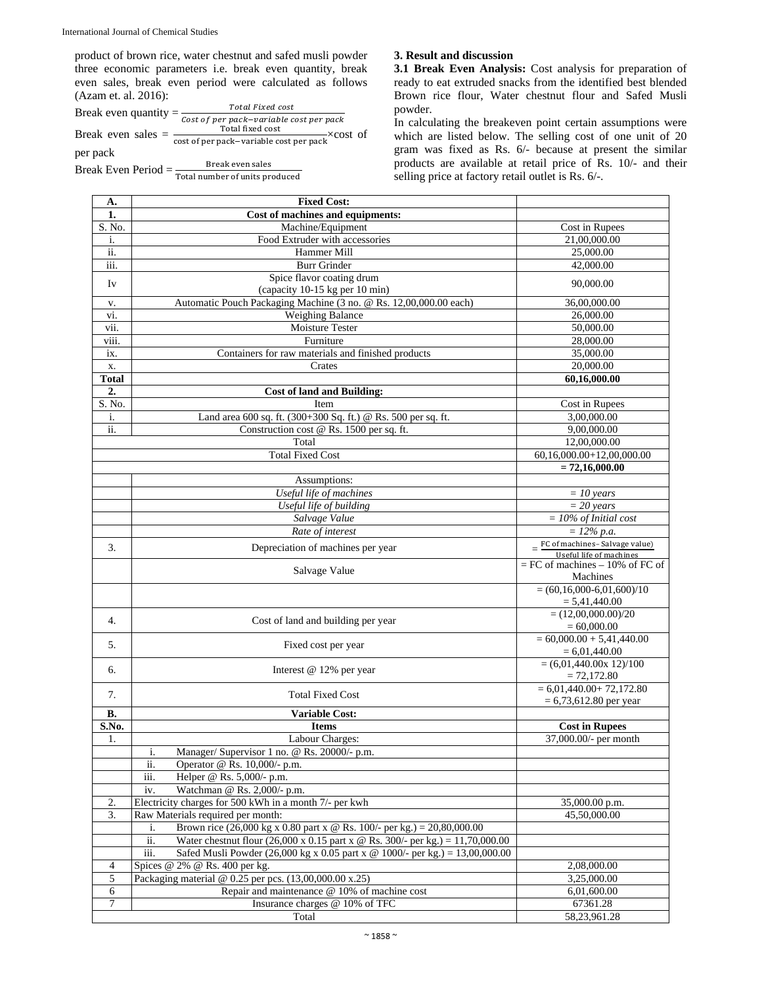product of brown rice, water chestnut and safed musli powder three economic parameters i.e. break even quantity, break even sales, break even period were calculated as follows (Azam et. al. 2016):

Break even quantity =  $\frac{Total Fixed cost}{Cost of per pack-variable cost per pack}$ <br>Break even sales =  $\frac{\text{Total fixed cost}}{\text{cost of per pack-variable cost per pack}} \times \text{cost of}$ per pack

Break Even Period  $=$   $\frac{\text{Break}}{\text{Total number of units produced}}$ 

## **3. Result and discussion**

**3.1 Break Even Analysis:** Cost analysis for preparation of ready to eat extruded snacks from the identified best blended Brown rice flour, Water chestnut flour and Safed Musli powder.

In calculating the breakeven point certain assumptions were which are listed below. The selling cost of one unit of 20 gram was fixed as Rs. 6/- because at present the similar products are available at retail price of Rs. 10/- and their selling price at factory retail outlet is Rs. 6/-.

| А.           | <b>Fixed Cost:</b>                                                                                                           |                                                                |
|--------------|------------------------------------------------------------------------------------------------------------------------------|----------------------------------------------------------------|
| 1.           | Cost of machines and equipments:                                                                                             |                                                                |
| S. No.       | Machine/Equipment                                                                                                            | Cost in Rupees                                                 |
| i.           | Food Extruder with accessories                                                                                               | 21,00,000.00                                                   |
| ii.          | Hammer Mill                                                                                                                  | 25,000.00                                                      |
| iii.         | <b>Burr Grinder</b>                                                                                                          | 42,000.00                                                      |
| Iv           | Spice flavor coating drum<br>(capacity 10-15 kg per 10 min)                                                                  | 90,000.00                                                      |
| V.           | Automatic Pouch Packaging Machine (3 no. @ Rs. 12,00,000.00 each)                                                            | 36,00,000.00                                                   |
| vi.          | Weighing Balance                                                                                                             | 26,000.00                                                      |
| vii.         | Moisture Tester                                                                                                              | 50,000.00                                                      |
| viii.        | Furniture                                                                                                                    | 28,000.00                                                      |
| ix.          | Containers for raw materials and finished products                                                                           | 35,000.00                                                      |
| Х.           | Crates                                                                                                                       | 20,000.00                                                      |
| <b>Total</b> |                                                                                                                              | 60,16,000.00                                                   |
| 2.           | <b>Cost of land and Building:</b>                                                                                            |                                                                |
| S. No.       | Item                                                                                                                         | Cost in Rupees                                                 |
| i.           | Land area 600 sq. ft. (300+300 Sq. ft.) @ Rs. 500 per sq. ft.                                                                | 3,00,000.00                                                    |
| ii.          | Construction cost @ Rs. 1500 per sq. ft.                                                                                     | 9,00,000.00                                                    |
|              | Total                                                                                                                        | 12,00,000.00                                                   |
|              | <b>Total Fixed Cost</b>                                                                                                      | 60,16,000.00+12,00,000.00                                      |
|              |                                                                                                                              | $= 72,16,000.00$                                               |
|              | Assumptions:                                                                                                                 |                                                                |
|              | Useful life of machines                                                                                                      | $=$ 10 years                                                   |
|              | Useful life of building                                                                                                      | $=$ 20 years                                                   |
|              | Salvage Value                                                                                                                | $= 10\%$ of Initial cost                                       |
|              | Rate of interest                                                                                                             | $= 12\% p.a.$                                                  |
| 3.           | Depreciation of machines per year                                                                                            | FC of machines-Salvage value)                                  |
|              | Salvage Value                                                                                                                | Heaful life of machines<br>$=$ FC of machines $-10\%$ of FC of |
|              |                                                                                                                              | Machines<br>$=(60,16,000-6,01,600)/10$                         |
|              |                                                                                                                              | $= 5,41,440.00$                                                |
| 4.           | Cost of land and building per year                                                                                           | $=(12,00,000.00)/20$<br>$= 60,000.00$                          |
| 5.           | Fixed cost per year                                                                                                          | $= 60,000.00 + 5,41,440.00$<br>$= 6,01,440.00$                 |
| 6.           | Interest @ 12% per year                                                                                                      | $=(6,01,440.00x 12)/100$                                       |
| 7.           | <b>Total Fixed Cost</b>                                                                                                      | $= 72,172.80$<br>$= 6,01,440.00+72,172.80$                     |
|              |                                                                                                                              | $= 6,73,612.80$ per year                                       |
| <b>B.</b>    | <b>Variable Cost:</b><br><b>Items</b>                                                                                        |                                                                |
| S.No.        |                                                                                                                              | <b>Cost in Rupees</b>                                          |
| 1.           | Labour Charges:                                                                                                              | 37,000.00/- per month                                          |
|              | Manager/ Supervisor 1 no. @ Rs. 20000/- p.m.<br>i.                                                                           |                                                                |
|              | ii.<br>Operator @ Rs. 10,000/- p.m.                                                                                          |                                                                |
|              | iii.<br>Helper @ Rs. 5,000/- p.m.<br>iv.                                                                                     |                                                                |
| 2.           | Watchman @ Rs. 2,000/- p.m.<br>Electricity charges for 500 kWh in a month 7/- per kwh                                        | 35,000.00 p.m.                                                 |
| 3.           | Raw Materials required per month:                                                                                            | 45,50,000.00                                                   |
|              | Brown rice $(26,000 \text{ kg x } 0.80 \text{ part x } \circledcirc \text{Rs. } 100/- \text{ per kg.}) = 20,80,000.00$<br>i. |                                                                |
|              | ii.<br>Water chestnut flour (26,000 x 0.15 part x @ Rs. 300/- per kg.) = 11,70,000.00                                        |                                                                |
|              | Safed Musli Powder (26,000 kg x 0.05 part x @ 1000/- per kg.) = 13,00,000.00<br>iii.                                         |                                                                |
| 4            | Spices $@2\% @Rs.400$ per kg.                                                                                                | 2,08,000.00                                                    |
| $\sqrt{5}$   | Packaging material @ 0.25 per pcs. (13,00,000.00 x.25)                                                                       | 3,25,000.00                                                    |
| 6            | Repair and maintenance @ 10% of machine cost                                                                                 | 6,01,600.00                                                    |
| 7            | Insurance charges @ 10% of TFC                                                                                               | 67361.28<br>58,23,961.28                                       |